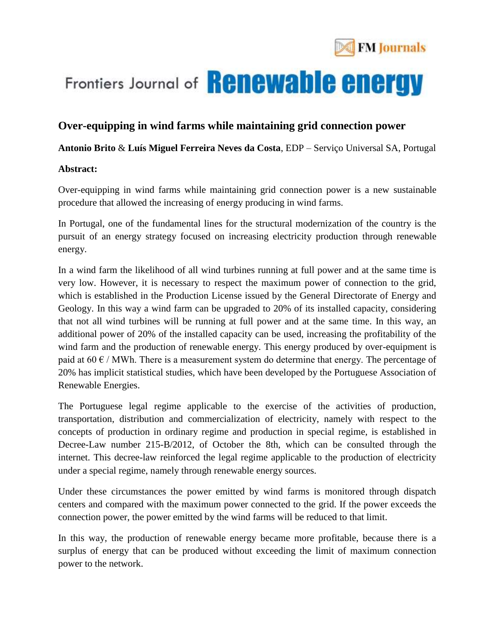

# Frontiers Journal of **Renewable energy**

### **Over-equipping in wind farms while maintaining grid connection power**

#### **Antonio Brito** & **Luís Miguel Ferreira Neves da Costa**, EDP – Serviço Universal SA, Portugal

#### **Abstract:**

Over-equipping in wind farms while maintaining grid connection power is a new sustainable procedure that allowed the increasing of energy producing in wind farms.

In Portugal, one of the fundamental lines for the structural modernization of the country is the pursuit of an energy strategy focused on increasing electricity production through renewable energy.

In a wind farm the likelihood of all wind turbines running at full power and at the same time is very low. However, it is necessary to respect the maximum power of connection to the grid, which is established in the Production License issued by the General Directorate of Energy and Geology. In this way a wind farm can be upgraded to 20% of its installed capacity, considering that not all wind turbines will be running at full power and at the same time. In this way, an additional power of 20% of the installed capacity can be used, increasing the profitability of the wind farm and the production of renewable energy. This energy produced by over-equipment is paid at  $60 \in$  / MWh. There is a measurement system do determine that energy. The percentage of 20% has implicit statistical studies, which have been developed by the Portuguese Association of Renewable Energies.

The Portuguese legal regime applicable to the exercise of the activities of production, transportation, distribution and commercialization of electricity, namely with respect to the concepts of production in ordinary regime and production in special regime, is established in Decree-Law number 215-B/2012, of October the 8th, which can be consulted through the internet. This decree-law reinforced the legal regime applicable to the production of electricity under a special regime, namely through renewable energy sources.

Under these circumstances the power emitted by wind farms is monitored through dispatch centers and compared with the maximum power connected to the grid. If the power exceeds the connection power, the power emitted by the wind farms will be reduced to that limit.

In this way, the production of renewable energy became more profitable, because there is a surplus of energy that can be produced without exceeding the limit of maximum connection power to the network.